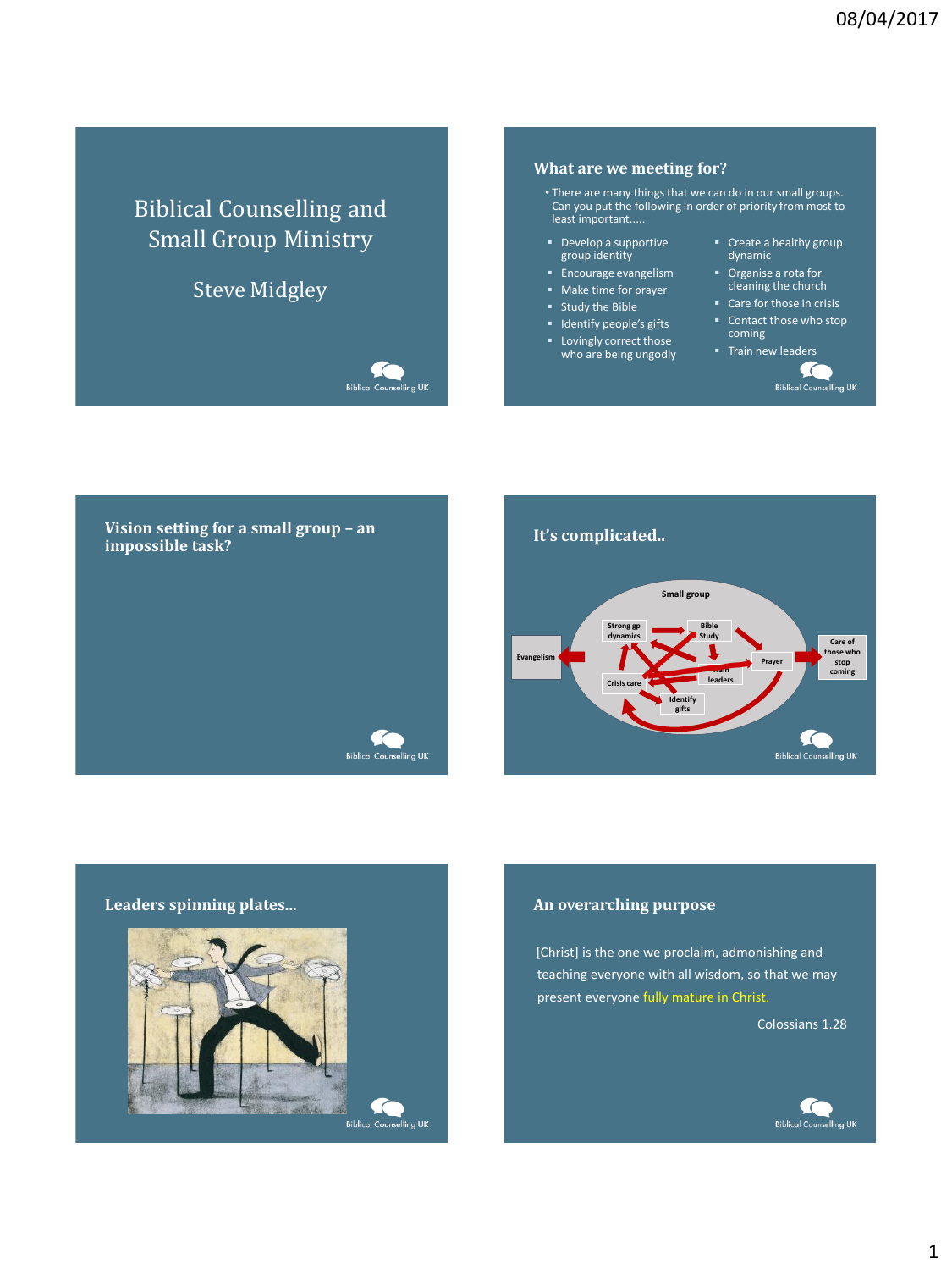# Biblical Counselling and Small Group Ministry

# Steve Midgley

Biblical Counselling UK

#### **What are we meeting for?**

- There are many things that we can do in our small groups. Can you put the following in order of priority from most to least important.....
- Develop a supportive group identity
- Encourage evangelism
- Make time for prayer
- Study the Bible
- **I** Identify people's gifts
- Lovingly correct those who are being ungodly
- Create a healthy group dynamic
- Organise a rota for cleaning the church
- Care for those in crisis
- Contact those who stop coming

 $\epsilon$ **Biblical Counselling UK** 

**Train new leaders** 

**Vision setting for a small group – an impossible task? It's complicated.. Small group Strong gp Bible dynamics Study Care of those who Evangelism Prayer Train coming leaders Crisis care Identify gifts** C **Biblical Counselling UK Biblical Counselling UK** 



[Christ] is the one we proclaim, admonishing and teaching everyone with all wisdom, so that we may present everyone fully mature in Christ.

Colossians 1.28

**stop** 

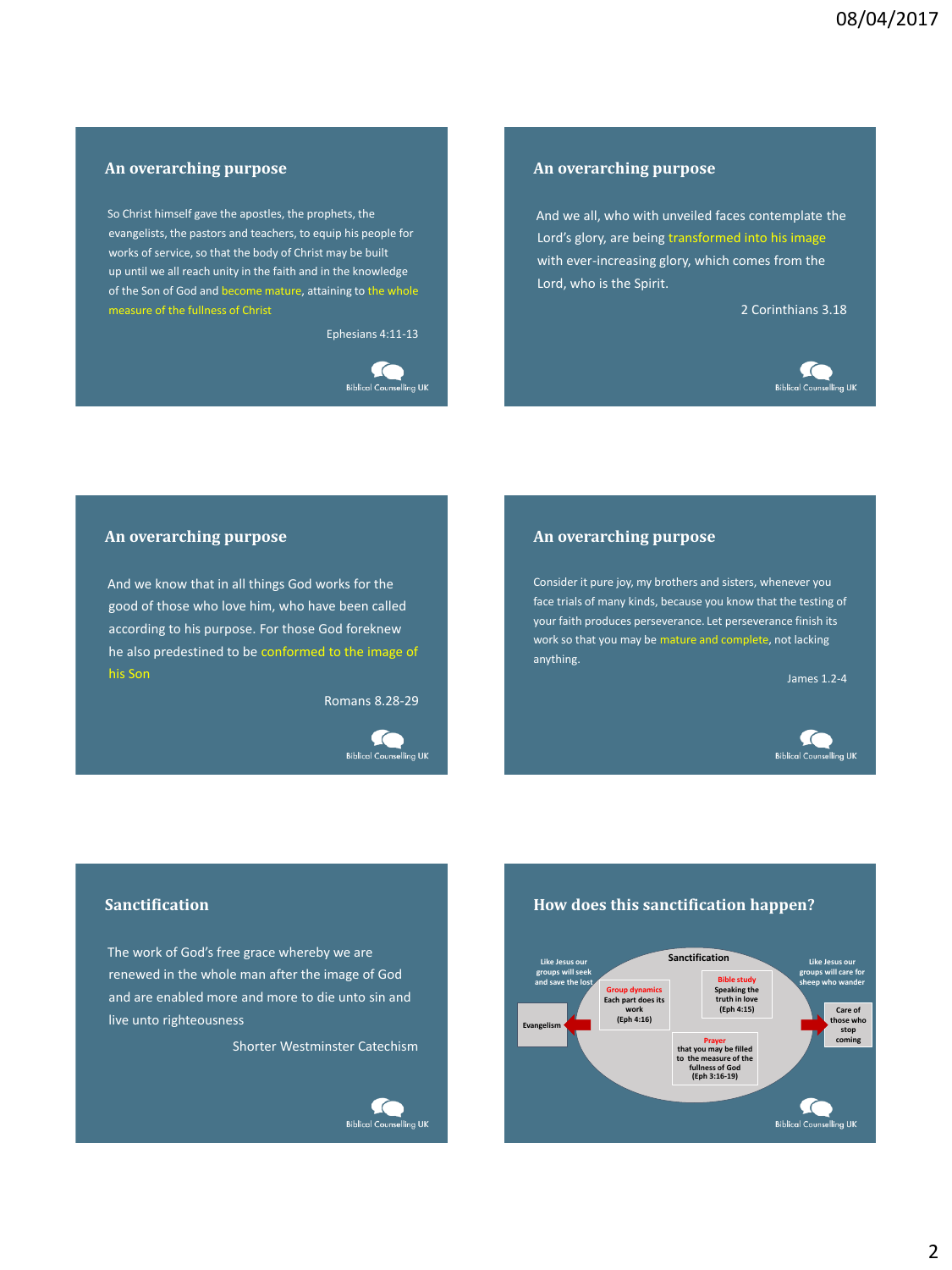# **An overarching purpose**

So Christ himself gave the apostles, the prophets, the evangelists, the pastors and teachers, to equip his people for works of service, so that the body of Christ may be built up until we all reach unity in the faith and in the knowledge of the Son of God and become mature, attaining to the whole measure of the fullness of Christ

Ephesians 4:11-13

#### $\subset$ **Biblical Counselling UK**

#### **An overarching purpose**

And we all, who with unveiled faces contemplate the Lord's glory, are being transformed into his image with ever-increasing glory, which comes from the Lord, who is the Spirit.

2 Corinthians 3.18



#### **An overarching purpose**

And we know that in all things God works for the good of those who love him, who have been called according to his purpose. For those God foreknew he also predestined to be conformed to the image of his Son

Romans 8.28-29

fo **Biblical Counselling UK** 

#### **An overarching purpose**

Consider it pure joy, my brothers and sisters, whenever you face trials of many kinds, because you know that the testing of your faith produces perseverance. Let perseverance finish its work so that you may be mature and complete, not lacking anything.

James 1.2-4



### **Sanctification**

The work of God's free grace whereby we are renewed in the whole man after the image of God and are enabled more and more to die unto sin and live unto righteousness

Shorter Westminster Catechism



#### **How does this sanctification happen?**